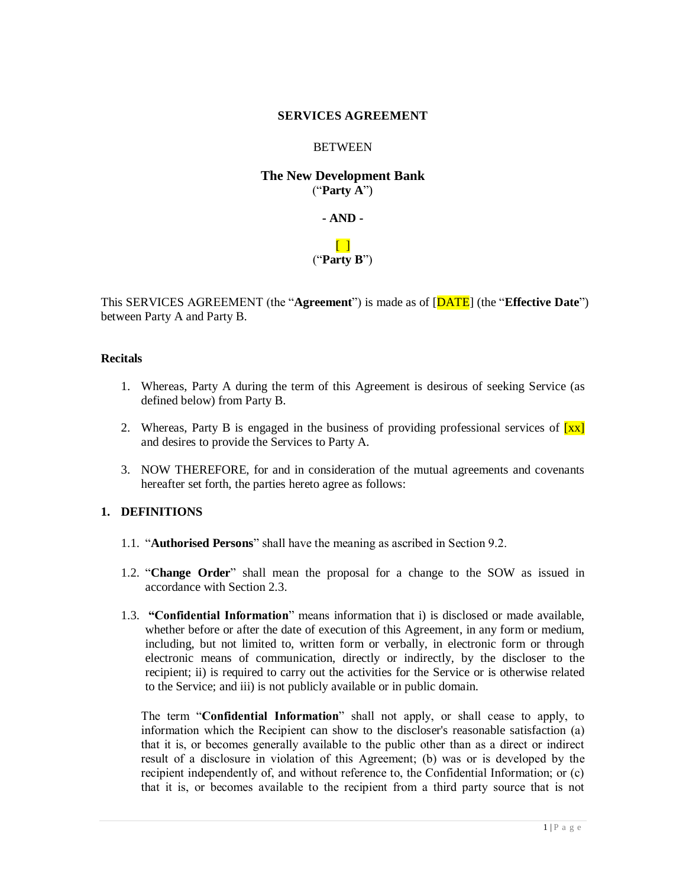#### **SERVICES AGREEMENT**

#### **BETWEEN**

# **The New Development Bank** ("**Party A**")

**- AND -**

#### $\Box$ ("**Party B**")

This SERVICES AGREEMENT (the "**Agreement**") is made as of [DATE] (the "**Effective Date**") between Party A and Party B.

#### **Recitals**

- 1. Whereas, Party A during the term of this Agreement is desirous of seeking Service (as defined below) from Party B.
- 2. Whereas, Party B is engaged in the business of providing professional services of  $\left[xx\right]$ and desires to provide the Services to Party A.
- 3. NOW THEREFORE, for and in consideration of the mutual agreements and covenants hereafter set forth, the parties hereto agree as follows:

## **1. DEFINITIONS**

- 1.1. "**Authorised Persons**" shall have the meaning as ascribed in Section 9.2.
- 1.2. "**Change Order**" shall mean the proposal for a change to the SOW as issued in accordance with Section 2.3.
- 1.3. **"Confidential Information**" means information that i) is disclosed or made available, whether before or after the date of execution of this Agreement, in any form or medium, including, but not limited to, written form or verbally, in electronic form or through electronic means of communication, directly or indirectly, by the discloser to the recipient; ii) is required to carry out the activities for the Service or is otherwise related to the Service; and iii) is not publicly available or in public domain.

The term "**Confidential Information**" shall not apply, or shall cease to apply, to information which the Recipient can show to the discloser's reasonable satisfaction (a) that it is, or becomes generally available to the public other than as a direct or indirect result of a disclosure in violation of this Agreement; (b) was or is developed by the recipient independently of, and without reference to, the Confidential Information; or (c) that it is, or becomes available to the recipient from a third party source that is not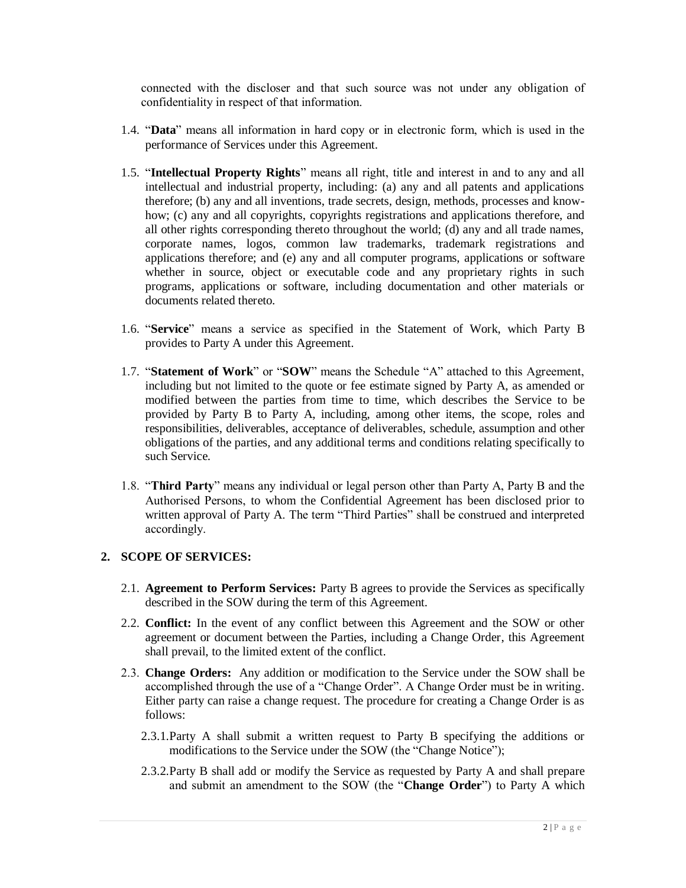connected with the discloser and that such source was not under any obligation of confidentiality in respect of that information.

- 1.4. "**Data**" means all information in hard copy or in electronic form, which is used in the performance of Services under this Agreement.
- 1.5. "**Intellectual Property Rights**" means all right, title and interest in and to any and all intellectual and industrial property, including: (a) any and all patents and applications therefore; (b) any and all inventions, trade secrets, design, methods, processes and knowhow; (c) any and all copyrights, copyrights registrations and applications therefore, and all other rights corresponding thereto throughout the world; (d) any and all trade names, corporate names, logos, common law trademarks, trademark registrations and applications therefore; and (e) any and all computer programs, applications or software whether in source, object or executable code and any proprietary rights in such programs, applications or software, including documentation and other materials or documents related thereto.
- 1.6. "**Service**" means a service as specified in the Statement of Work, which Party B provides to Party A under this Agreement.
- 1.7. "**Statement of Work**" or "**SOW**" means the Schedule "A" attached to this Agreement, including but not limited to the quote or fee estimate signed by Party A, as amended or modified between the parties from time to time, which describes the Service to be provided by Party B to Party A, including, among other items, the scope, roles and responsibilities, deliverables, acceptance of deliverables, schedule, assumption and other obligations of the parties, and any additional terms and conditions relating specifically to such Service.
- 1.8. "**Third Party**" means any individual or legal person other than Party A, Party B and the Authorised Persons, to whom the Confidential Agreement has been disclosed prior to written approval of Party A. The term "Third Parties" shall be construed and interpreted accordingly.

## **2. SCOPE OF SERVICES:**

- 2.1. **Agreement to Perform Services:** Party B agrees to provide the Services as specifically described in the SOW during the term of this Agreement.
- 2.2. **Conflict:** In the event of any conflict between this Agreement and the SOW or other agreement or document between the Parties, including a Change Order, this Agreement shall prevail, to the limited extent of the conflict.
- 2.3. **Change Orders:** Any addition or modification to the Service under the SOW shall be accomplished through the use of a "Change Order". A Change Order must be in writing. Either party can raise a change request. The procedure for creating a Change Order is as follows:
	- 2.3.1.Party A shall submit a written request to Party B specifying the additions or modifications to the Service under the SOW (the "Change Notice");
	- 2.3.2.Party B shall add or modify the Service as requested by Party A and shall prepare and submit an amendment to the SOW (the "**Change Order**") to Party A which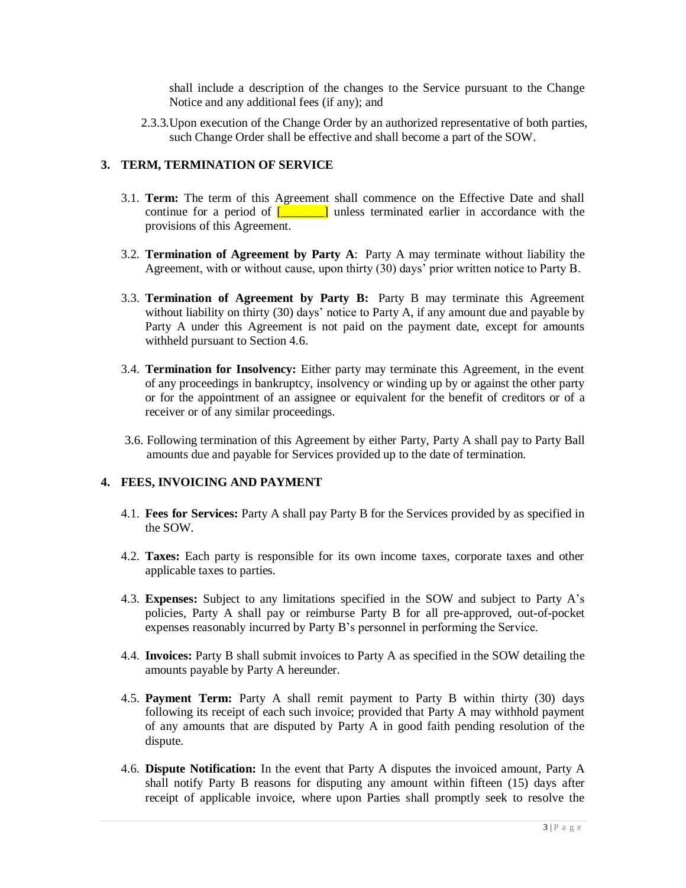shall include a description of the changes to the Service pursuant to the Change Notice and any additional fees (if any); and

2.3.3.Upon execution of the Change Order by an authorized representative of both parties, such Change Order shall be effective and shall become a part of the SOW.

#### **3. TERM, TERMINATION OF SERVICE**

- 3.1. **Term:** The term of this Agreement shall commence on the Effective Date and shall continue for a period of  $\begin{bmatrix} 1 & 1 \\ 1 & 1 \end{bmatrix}$  unless terminated earlier in accordance with the provisions of this Agreement.
- 3.2. **Termination of Agreement by Party A**: Party A may terminate without liability the Agreement, with or without cause, upon thirty (30) days' prior written notice to Party B.
- 3.3. **Termination of Agreement by Party B:** Party B may terminate this Agreement without liability on thirty (30) days' notice to Party A, if any amount due and payable by Party A under this Agreement is not paid on the payment date, except for amounts withheld pursuant to Section 4.6.
- 3.4. **Termination for Insolvency:** Either party may terminate this Agreement, in the event of any proceedings in bankruptcy, insolvency or winding up by or against the other party or for the appointment of an assignee or equivalent for the benefit of creditors or of a receiver or of any similar proceedings.
- 3.6. Following termination of this Agreement by either Party, Party A shall pay to Party Ball amounts due and payable for Services provided up to the date of termination.

## **4. FEES, INVOICING AND PAYMENT**

- 4.1. **Fees for Services:** Party A shall pay Party B for the Services provided by as specified in the SOW.
- 4.2. **Taxes:** Each party is responsible for its own income taxes, corporate taxes and other applicable taxes to parties.
- 4.3. **Expenses:** Subject to any limitations specified in the SOW and subject to Party A's policies, Party A shall pay or reimburse Party B for all pre-approved, out-of-pocket expenses reasonably incurred by Party B's personnel in performing the Service.
- 4.4. **Invoices:** Party B shall submit invoices to Party A as specified in the SOW detailing the amounts payable by Party A hereunder.
- 4.5. **Payment Term:** Party A shall remit payment to Party B within thirty (30) days following its receipt of each such invoice; provided that Party A may withhold payment of any amounts that are disputed by Party A in good faith pending resolution of the dispute.
- 4.6. **Dispute Notification:** In the event that Party A disputes the invoiced amount, Party A shall notify Party B reasons for disputing any amount within fifteen (15) days after receipt of applicable invoice, where upon Parties shall promptly seek to resolve the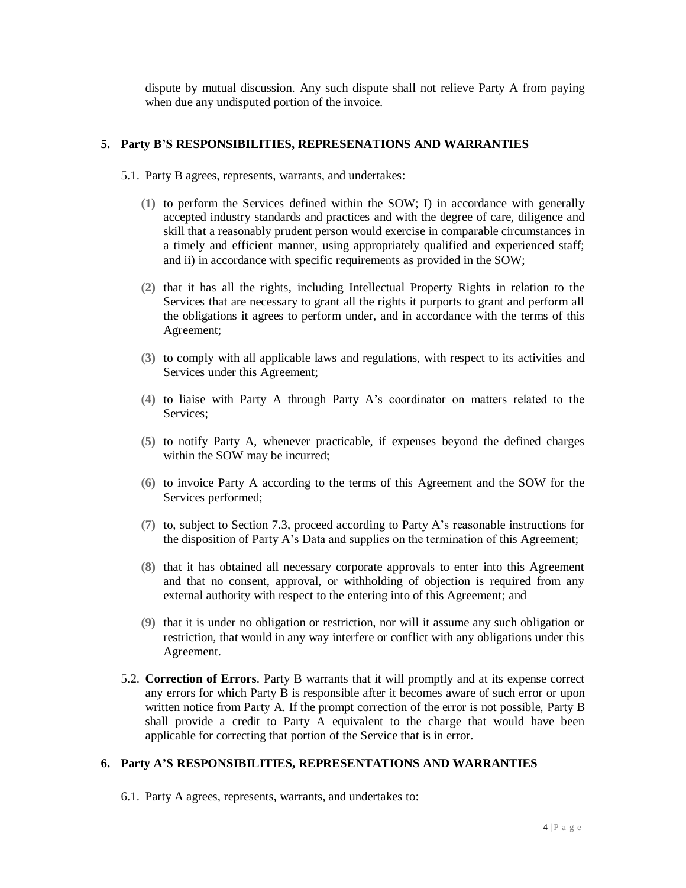dispute by mutual discussion. Any such dispute shall not relieve Party A from paying when due any undisputed portion of the invoice.

#### **5. Party B'S RESPONSIBILITIES, REPRESENATIONS AND WARRANTIES**

- 5.1. Party B agrees, represents, warrants, and undertakes:
	- **(1)** to perform the Services defined within the SOW; I) in accordance with generally accepted industry standards and practices and with the degree of care, diligence and skill that a reasonably prudent person would exercise in comparable circumstances in a timely and efficient manner, using appropriately qualified and experienced staff; and ii) in accordance with specific requirements as provided in the SOW;
	- **(2)** that it has all the rights, including Intellectual Property Rights in relation to the Services that are necessary to grant all the rights it purports to grant and perform all the obligations it agrees to perform under, and in accordance with the terms of this Agreement;
	- **(3)** to comply with all applicable laws and regulations, with respect to its activities and Services under this Agreement;
	- **(4)** to liaise with Party A through Party A's coordinator on matters related to the Services;
	- **(5)** to notify Party A, whenever practicable, if expenses beyond the defined charges within the SOW may be incurred;
	- **(6)** to invoice Party A according to the terms of this Agreement and the SOW for the Services performed;
	- **(7)** to, subject to Section 7.3, proceed according to Party A's reasonable instructions for the disposition of Party A's Data and supplies on the termination of this Agreement;
	- **(8)** that it has obtained all necessary corporate approvals to enter into this Agreement and that no consent, approval, or withholding of objection is required from any external authority with respect to the entering into of this Agreement; and
	- **(9)** that it is under no obligation or restriction, nor will it assume any such obligation or restriction, that would in any way interfere or conflict with any obligations under this Agreement.
- 5.2. **Correction of Errors**. Party B warrants that it will promptly and at its expense correct any errors for which Party B is responsible after it becomes aware of such error or upon written notice from Party A. If the prompt correction of the error is not possible, Party B shall provide a credit to Party A equivalent to the charge that would have been applicable for correcting that portion of the Service that is in error.

#### **6. Party A'S RESPONSIBILITIES, REPRESENTATIONS AND WARRANTIES**

6.1. Party A agrees, represents, warrants, and undertakes to: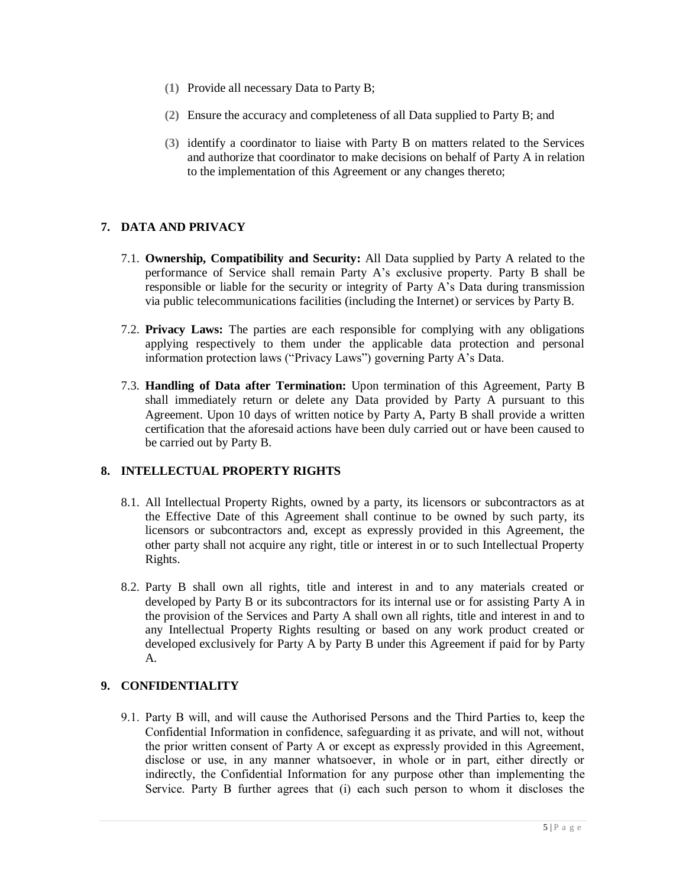- **(1)** Provide all necessary Data to Party B;
- **(2)** Ensure the accuracy and completeness of all Data supplied to Party B; and
- **(3)** identify a coordinator to liaise with Party B on matters related to the Services and authorize that coordinator to make decisions on behalf of Party A in relation to the implementation of this Agreement or any changes thereto;

## **7. DATA AND PRIVACY**

- 7.1. **Ownership, Compatibility and Security:** All Data supplied by Party A related to the performance of Service shall remain Party A's exclusive property. Party B shall be responsible or liable for the security or integrity of Party A's Data during transmission via public telecommunications facilities (including the Internet) or services by Party B.
- 7.2. **Privacy Laws:** The parties are each responsible for complying with any obligations applying respectively to them under the applicable data protection and personal information protection laws ("Privacy Laws") governing Party A's Data.
- 7.3. **Handling of Data after Termination:** Upon termination of this Agreement, Party B shall immediately return or delete any Data provided by Party A pursuant to this Agreement. Upon 10 days of written notice by Party A, Party B shall provide a written certification that the aforesaid actions have been duly carried out or have been caused to be carried out by Party B.

## **8. INTELLECTUAL PROPERTY RIGHTS**

- 8.1. All Intellectual Property Rights, owned by a party, its licensors or subcontractors as at the Effective Date of this Agreement shall continue to be owned by such party, its licensors or subcontractors and, except as expressly provided in this Agreement, the other party shall not acquire any right, title or interest in or to such Intellectual Property Rights.
- 8.2. Party B shall own all rights, title and interest in and to any materials created or developed by Party B or its subcontractors for its internal use or for assisting Party A in the provision of the Services and Party A shall own all rights, title and interest in and to any Intellectual Property Rights resulting or based on any work product created or developed exclusively for Party A by Party B under this Agreement if paid for by Party A.

## **9. CONFIDENTIALITY**

9.1. Party B will, and will cause the Authorised Persons and the Third Parties to, keep the Confidential Information in confidence, safeguarding it as private, and will not, without the prior written consent of Party A or except as expressly provided in this Agreement, disclose or use, in any manner whatsoever, in whole or in part, either directly or indirectly, the Confidential Information for any purpose other than implementing the Service. Party B further agrees that (i) each such person to whom it discloses the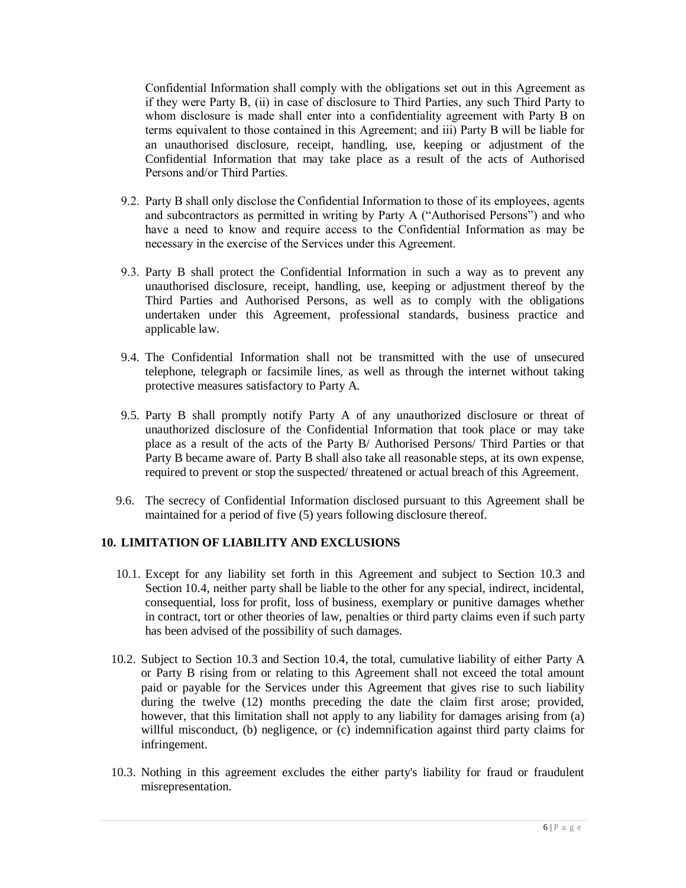Confidential Information shall comply with the obligations set out in this Agreement as if they were Party B, (ii) in case of disclosure to Third Parties, any such Third Party to whom disclosure is made shall enter into a confidentiality agreement with Party B on terms equivalent to those contained in this Agreement; and iii) Party B will be liable for an unauthorised disclosure, receipt, handling, use, keeping or adjustment of the Confidential Information that may take place as a result of the acts of Authorised Persons and/or Third Parties.

- 9.2. Party B shall only disclose the Confidential Information to those of its employees, agents and subcontractors as permitted in writing by Party A ("Authorised Persons") and who have a need to know and require access to the Confidential Information as may be necessary in the exercise of the Services under this Agreement.
- 9.3. Party B shall protect the Confidential Information in such a way as to prevent any unauthorised disclosure, receipt, handling, use, keeping or adjustment thereof by the Third Parties and Authorised Persons, as well as to comply with the obligations undertaken under this Agreement, professional standards, business practice and applicable law.
- 9.4. The Confidential Information shall not be transmitted with the use of unsecured telephone, telegraph or facsimile lines, as well as through the internet without taking protective measures satisfactory to Party A.
- 9.5. Party B shall promptly notify Party A of any unauthorized disclosure or threat of unauthorized disclosure of the Confidential Information that took place or may take place as a result of the acts of the Party B/ Authorised Persons/ Third Parties or that Party B became aware of. Party B shall also take all reasonable steps, at its own expense, required to prevent or stop the suspected/ threatened or actual breach of this Agreement.
- 9.6. The secrecy of Confidential Information disclosed pursuant to this Agreement shall be maintained for a period of five (5) years following disclosure thereof.

# **10. LIMITATION OF LIABILITY AND EXCLUSIONS**

- 10.1. Except for any liability set forth in this Agreement and subject to Section 10.3 and Section 10.4, neither party shall be liable to the other for any special, indirect, incidental, consequential, loss for profit, loss of business, exemplary or punitive damages whether in contract, tort or other theories of law, penalties or third party claims even if such party has been advised of the possibility of such damages.
- 10.2. Subject to Section 10.3 and Section 10.4, the total, cumulative liability of either Party A or Party B rising from or relating to this Agreement shall not exceed the total amount paid or payable for the Services under this Agreement that gives rise to such liability during the twelve (12) months preceding the date the claim first arose; provided, however, that this limitation shall not apply to any liability for damages arising from (a) willful misconduct, (b) negligence, or (c) indemnification against third party claims for infringement.
- 10.3. Nothing in this agreement excludes the either party's liability for fraud or fraudulent misrepresentation.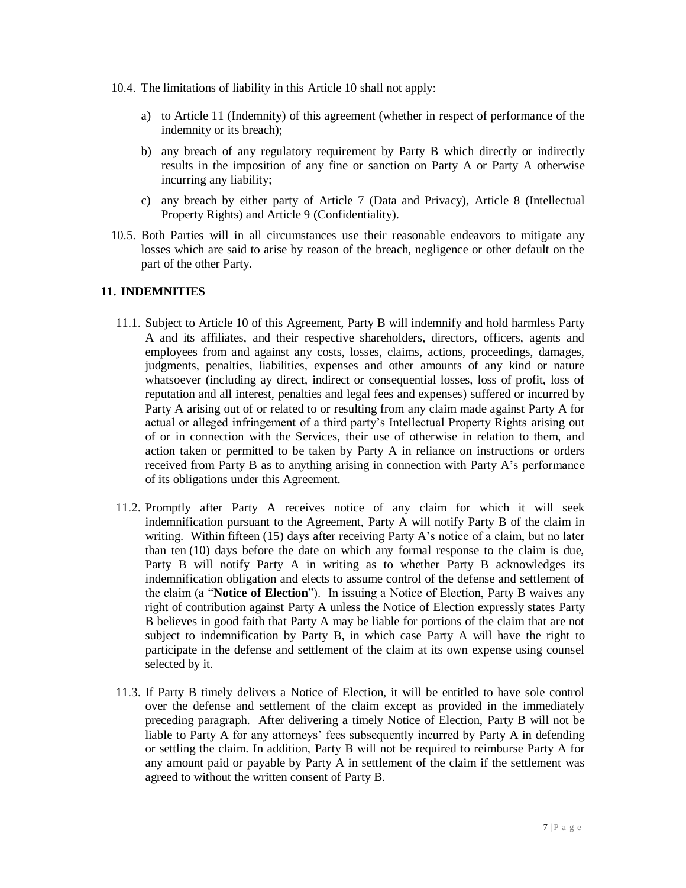- 10.4. The limitations of liability in this Article 10 shall not apply:
	- a) to Article 11 (Indemnity) of this agreement (whether in respect of performance of the indemnity or its breach);
	- b) any breach of any regulatory requirement by Party B which directly or indirectly results in the imposition of any fine or sanction on Party A or Party A otherwise incurring any liability;
	- c) any breach by either party of Article 7 (Data and Privacy), Article 8 (Intellectual Property Rights) and Article 9 (Confidentiality).
- 10.5. Both Parties will in all circumstances use their reasonable endeavors to mitigate any losses which are said to arise by reason of the breach, negligence or other default on the part of the other Party.

## **11. INDEMNITIES**

- 11.1. Subject to Article 10 of this Agreement, Party B will indemnify and hold harmless Party A and its affiliates, and their respective shareholders, directors, officers, agents and employees from and against any costs, losses, claims, actions, proceedings, damages, judgments, penalties, liabilities, expenses and other amounts of any kind or nature whatsoever (including ay direct, indirect or consequential losses, loss of profit, loss of reputation and all interest, penalties and legal fees and expenses) suffered or incurred by Party A arising out of or related to or resulting from any claim made against Party A for actual or alleged infringement of a third party's Intellectual Property Rights arising out of or in connection with the Services, their use of otherwise in relation to them, and action taken or permitted to be taken by Party A in reliance on instructions or orders received from Party B as to anything arising in connection with Party A's performance of its obligations under this Agreement.
- 11.2. Promptly after Party A receives notice of any claim for which it will seek indemnification pursuant to the Agreement, Party A will notify Party B of the claim in writing. Within fifteen (15) days after receiving Party A's notice of a claim, but no later than ten (10) days before the date on which any formal response to the claim is due, Party B will notify Party A in writing as to whether Party B acknowledges its indemnification obligation and elects to assume control of the defense and settlement of the claim (a "**Notice of Election**"). In issuing a Notice of Election, Party B waives any right of contribution against Party A unless the Notice of Election expressly states Party B believes in good faith that Party A may be liable for portions of the claim that are not subject to indemnification by Party B, in which case Party A will have the right to participate in the defense and settlement of the claim at its own expense using counsel selected by it.
- 11.3. If Party B timely delivers a Notice of Election, it will be entitled to have sole control over the defense and settlement of the claim except as provided in the immediately preceding paragraph. After delivering a timely Notice of Election, Party B will not be liable to Party A for any attorneys' fees subsequently incurred by Party A in defending or settling the claim. In addition, Party B will not be required to reimburse Party A for any amount paid or payable by Party A in settlement of the claim if the settlement was agreed to without the written consent of Party B.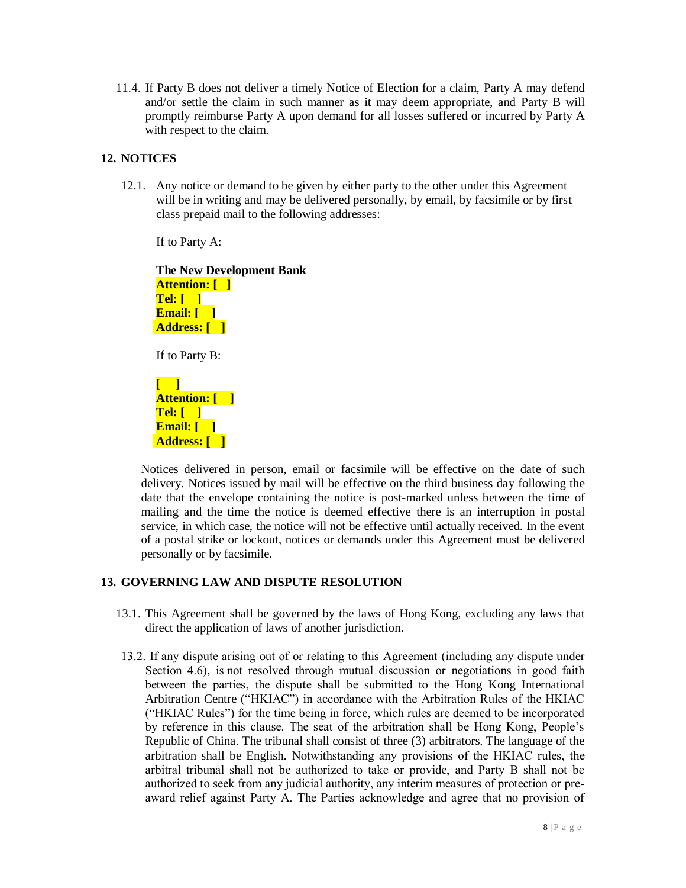11.4. If Party B does not deliver a timely Notice of Election for a claim, Party A may defend and/or settle the claim in such manner as it may deem appropriate, and Party B will promptly reimburse Party A upon demand for all losses suffered or incurred by Party A with respect to the claim.

#### **12. NOTICES**

12.1. Any notice or demand to be given by either party to the other under this Agreement will be in writing and may be delivered personally, by email, by facsimile or by first class prepaid mail to the following addresses:

If to Party A:

**The New Development Bank Attention: [ ] Tel: [ ] Email: [ ] Address: [ ]** If to Party B:

**[ ] Attention: [ ] Tel: [ ] Email: [ ] Address: [ ]**

Notices delivered in person, email or facsimile will be effective on the date of such delivery. Notices issued by mail will be effective on the third business day following the date that the envelope containing the notice is post-marked unless between the time of mailing and the time the notice is deemed effective there is an interruption in postal service, in which case, the notice will not be effective until actually received. In the event of a postal strike or lockout, notices or demands under this Agreement must be delivered personally or by facsimile.

## **13. GOVERNING LAW AND DISPUTE RESOLUTION**

- 13.1. This Agreement shall be governed by the laws of Hong Kong, excluding any laws that direct the application of laws of another jurisdiction.
- 13.2. If any dispute arising out of or relating to this Agreement (including any dispute under Section 4.6), is not resolved through mutual discussion or negotiations in good faith between the parties, the dispute shall be submitted to the Hong Kong International Arbitration Centre ("HKIAC") in accordance with the Arbitration Rules of the HKIAC ("HKIAC Rules") for the time being in force, which rules are deemed to be incorporated by reference in this clause. The seat of the arbitration shall be Hong Kong, People's Republic of China. The tribunal shall consist of three (3) arbitrators. The language of the arbitration shall be English. Notwithstanding any provisions of the HKIAC rules, the arbitral tribunal shall not be authorized to take or provide, and Party B shall not be authorized to seek from any judicial authority, any interim measures of protection or preaward relief against Party A. The Parties acknowledge and agree that no provision of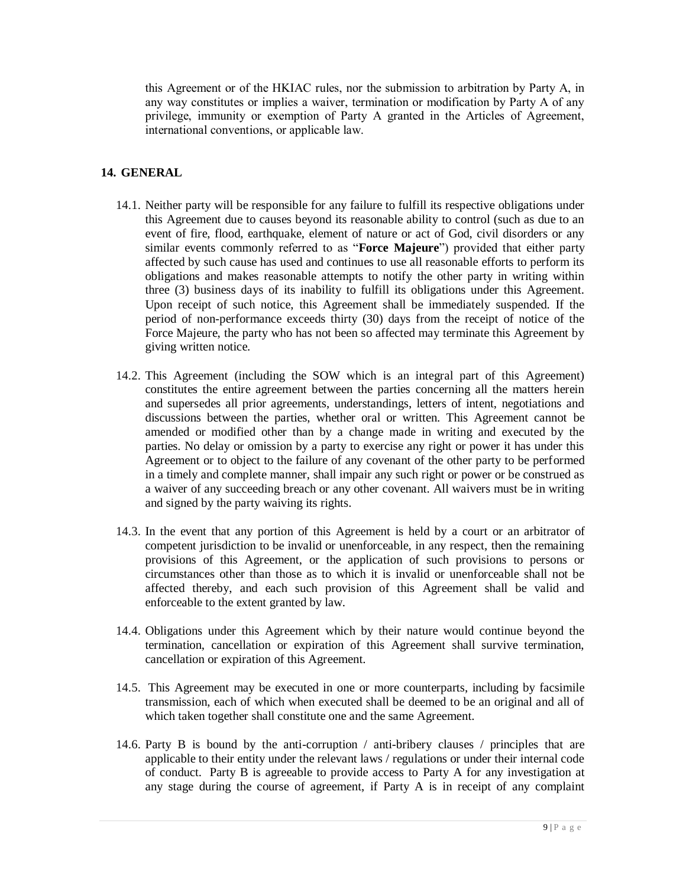this Agreement or of the HKIAC rules, nor the submission to arbitration by Party A, in any way constitutes or implies a waiver, termination or modification by Party A of any privilege, immunity or exemption of Party A granted in the Articles of Agreement, international conventions, or applicable law.

## **14. GENERAL**

- 14.1. Neither party will be responsible for any failure to fulfill its respective obligations under this Agreement due to causes beyond its reasonable ability to control (such as due to an event of fire, flood, earthquake, element of nature or act of God, civil disorders or any similar events commonly referred to as "**Force Majeure**") provided that either party affected by such cause has used and continues to use all reasonable efforts to perform its obligations and makes reasonable attempts to notify the other party in writing within three (3) business days of its inability to fulfill its obligations under this Agreement. Upon receipt of such notice, this Agreement shall be immediately suspended. If the period of non-performance exceeds thirty (30) days from the receipt of notice of the Force Majeure, the party who has not been so affected may terminate this Agreement by giving written notice.
- 14.2. This Agreement (including the SOW which is an integral part of this Agreement) constitutes the entire agreement between the parties concerning all the matters herein and supersedes all prior agreements, understandings, letters of intent, negotiations and discussions between the parties, whether oral or written. This Agreement cannot be amended or modified other than by a change made in writing and executed by the parties. No delay or omission by a party to exercise any right or power it has under this Agreement or to object to the failure of any covenant of the other party to be performed in a timely and complete manner, shall impair any such right or power or be construed as a waiver of any succeeding breach or any other covenant. All waivers must be in writing and signed by the party waiving its rights.
- 14.3. In the event that any portion of this Agreement is held by a court or an arbitrator of competent jurisdiction to be invalid or unenforceable, in any respect, then the remaining provisions of this Agreement, or the application of such provisions to persons or circumstances other than those as to which it is invalid or unenforceable shall not be affected thereby, and each such provision of this Agreement shall be valid and enforceable to the extent granted by law.
- 14.4. Obligations under this Agreement which by their nature would continue beyond the termination, cancellation or expiration of this Agreement shall survive termination, cancellation or expiration of this Agreement.
- 14.5. This Agreement may be executed in one or more counterparts, including by facsimile transmission, each of which when executed shall be deemed to be an original and all of which taken together shall constitute one and the same Agreement.
- 14.6. Party B is bound by the anti-corruption / anti-bribery clauses / principles that are applicable to their entity under the relevant laws / regulations or under their internal code of conduct. Party B is agreeable to provide access to Party A for any investigation at any stage during the course of agreement, if Party A is in receipt of any complaint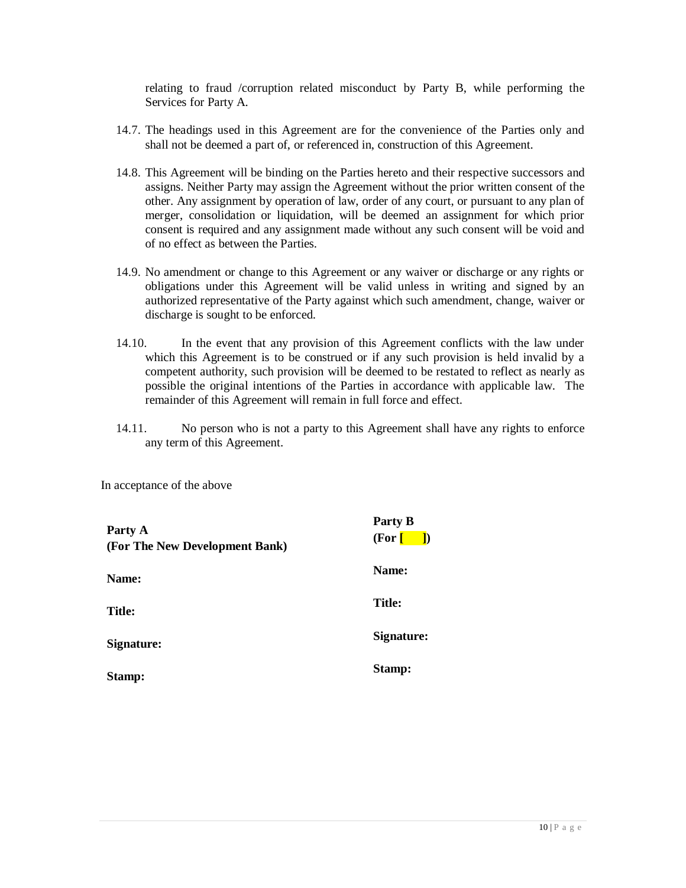relating to fraud /corruption related misconduct by Party B, while performing the Services for Party A.

- 14.7. The headings used in this Agreement are for the convenience of the Parties only and shall not be deemed a part of, or referenced in, construction of this Agreement.
- 14.8. This Agreement will be binding on the Parties hereto and their respective successors and assigns. Neither Party may assign the Agreement without the prior written consent of the other. Any assignment by operation of law, order of any court, or pursuant to any plan of merger, consolidation or liquidation, will be deemed an assignment for which prior consent is required and any assignment made without any such consent will be void and of no effect as between the Parties.
- 14.9. No amendment or change to this Agreement or any waiver or discharge or any rights or obligations under this Agreement will be valid unless in writing and signed by an authorized representative of the Party against which such amendment, change, waiver or discharge is sought to be enforced.
- 14.10. In the event that any provision of this Agreement conflicts with the law under which this Agreement is to be construed or if any such provision is held invalid by a competent authority, such provision will be deemed to be restated to reflect as nearly as possible the original intentions of the Parties in accordance with applicable law. The remainder of this Agreement will remain in full force and effect.
- 14.11. No person who is not a party to this Agreement shall have any rights to enforce any term of this Agreement.

In acceptance of the above

| Party A<br>(For The New Development Bank) | Party B<br>(For [<br>$\vert$ |
|-------------------------------------------|------------------------------|
| Name:                                     | Name:                        |
| <b>Title:</b>                             | Title:                       |
| Signature:                                | Signature:                   |
| Stamp:                                    | Stamp:                       |